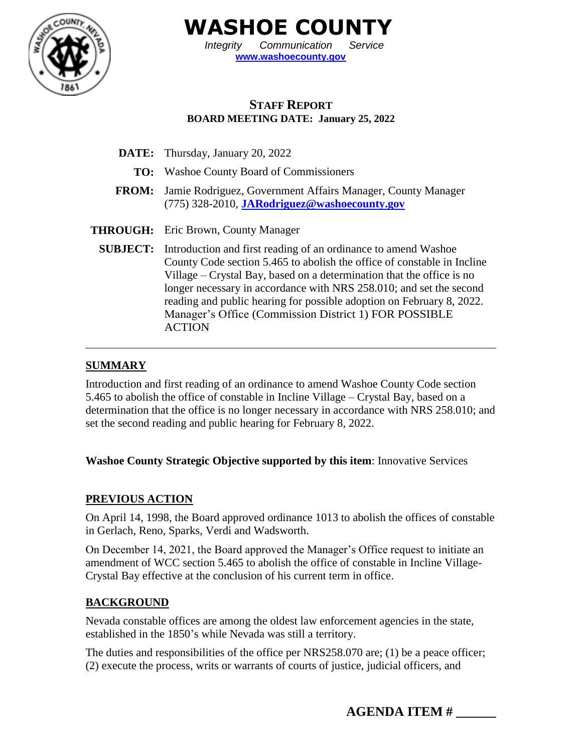

**WASHOE COUNTY**

*Integrity Communication Service* **[www.washoecounty.gov](http://www.washoecounty.gov/)**

# **STAFF REPORT BOARD MEETING DATE: January 25, 2022**

- **DATE:** Thursday, January 20, 2022
	- **TO:** Washoe County Board of Commissioners
- **FROM:** Jamie Rodriguez, Government Affairs Manager, County Manager (775) 328-2010, **[JARodriguez@washoecounty.gov](mailto:JARodriguez@washoecounty.gov)**
- **THROUGH:** Eric Brown, County Manager
	- **SUBJECT:** Introduction and first reading of an ordinance to amend Washoe County Code section 5.465 to abolish the office of constable in Incline Village – Crystal Bay, based on a determination that the office is no longer necessary in accordance with NRS 258.010; and set the second reading and public hearing for possible adoption on February 8, 2022. Manager's Office (Commission District 1) FOR POSSIBLE ACTION

## **SUMMARY**

Introduction and first reading of an ordinance to amend Washoe County Code section 5.465 to abolish the office of constable in Incline Village – Crystal Bay, based on a determination that the office is no longer necessary in accordance with NRS 258.010; and set the second reading and public hearing for February 8, 2022.

## **Washoe County Strategic Objective supported by this item**: Innovative Services

## **PREVIOUS ACTION**

On April 14, 1998, the Board approved ordinance 1013 to abolish the offices of constable in Gerlach, Reno, Sparks, Verdi and Wadsworth.

On December 14, 2021, the Board approved the Manager's Office request to initiate an amendment of WCC section 5.465 to abolish the office of constable in Incline Village-Crystal Bay effective at the conclusion of his current term in office.

## **BACKGROUND**

Nevada constable offices are among the oldest law enforcement agencies in the state, established in the 1850's while Nevada was still a territory.

The duties and responsibilities of the office per NRS258.070 are; (1) be a peace officer; (2) execute the process, writs or warrants of courts of justice, judicial officers, and